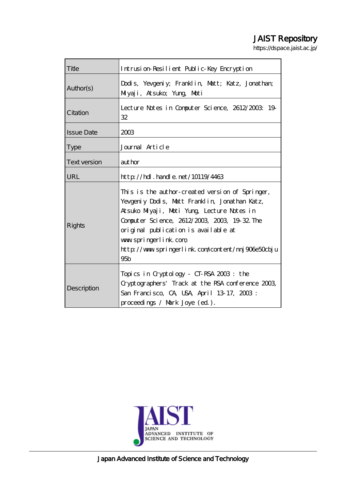# JAIST Repository

https://dspace.jaist.ac.jp/

| Title               | Intrusion-Resilient Public-Key Encryption                                                                                                                                                                                                                                                                                              |
|---------------------|----------------------------------------------------------------------------------------------------------------------------------------------------------------------------------------------------------------------------------------------------------------------------------------------------------------------------------------|
| Author(s)           | Dodis, Yevgeniy, Franklin, Matt; Katz, Jonathan;<br>Miyaji, Atsuko; Yung, Moti                                                                                                                                                                                                                                                         |
| Citation            | Lecture Notes in Computer Science, 2612/2003: 19<br>32                                                                                                                                                                                                                                                                                 |
| <b>Issue Date</b>   | 2003                                                                                                                                                                                                                                                                                                                                   |
| <b>Type</b>         | Journal Article                                                                                                                                                                                                                                                                                                                        |
| <b>Text version</b> | author                                                                                                                                                                                                                                                                                                                                 |
| URL                 | $http$ // $hdl$ . handle. net/10119/4463                                                                                                                                                                                                                                                                                               |
| <b>Rights</b>       | This is the author-created version of Springer,<br>Yevgeniy Dodis, Matt Franklin, Jonathan Katz,<br>Atsuko Miyaji, Moti Yung, Lecture Notes in<br>Computer Science, 2612/2003, 2003, 1932. The<br>original publication is available at<br>www.springerlink.com<br>http://www.springerlink.com/content/mgj906e50cbju<br>95 <sub>b</sub> |
| Description         | Topics in Cryptology - CT-RSA 2003: the<br>Cryptographers' Track at the RSA conference 2003,<br>San Francisco, CA, USA, April 13-17, 2003:<br>proceedings / Mark Joye (ed.).                                                                                                                                                           |



Japan Advanced Institute of Science and Technology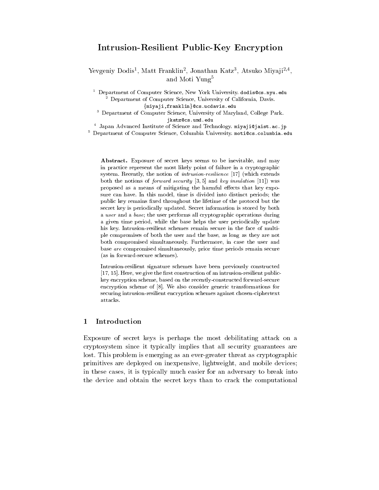## **Intrusion-Resilient Public-Key Encryption**

Yevgeniy Dodis<sup>1</sup>, Matt Franklin<sup>2</sup>, Jonathan Katz<sup>3</sup>, Atsuko Miyaji<sup>2,4</sup>, and Moti Yung<sup>5</sup>

<sup>1</sup> Department of Computer Science, New York University. dodis @cs.nyu.edu <sup>2</sup> Department of Computer Science, University of California, Davis. {miyaji, franklin}@cs.ucdavis.edu

<sup>3</sup> Department of Computer Science, University of Maryland, College Park. jkatz@cs.umd.edu

<sup>4</sup> Japan Advanced Institute of Science and Technology. miyaji@jaist.ac.jp <sup>5</sup> Department of Computer Science, Columbia University. moti@cs.columbia.edu

Abstract. Exposure of secret keys seems to be inevitable, and may in practice represent the most likely point of failure in a cryptographic system. Recently, the notion of *intrusion-resilience* [17] (which extends both the notions of *forward security* [3, 5] and *key insulation* [11]) was proposed as a means of mitigating the harmful effects that key exposure can have. In this model, time is divided into distinct periods; the public key remains fixed throughout the lifetime of the protocol but the secret key is periodically updated. Secret information is stored by both a user and a base; the user performs all cryptographic operations during a given time period, while the base helps the user periodically update his key. Intrusion-resilient schemes remain secure in the face of multiple compromises of both the user and the base, as long as they are not both compromised simultaneously. Furthermore, in case the user and base are compromised simultaneously, prior time periods remain secure (as in forward-secure schemes).

Intrusion-resilient signature schemes have been previously constructed  $[17, 15]$ . Here, we give the first construction of an intrusion-resilient publickey encryption scheme, based on the recently-constructed forward-secure encryption scheme of [8]. We also consider generic transformations for securing intrusion-resilient encryption schemes against chosen-ciphertext attacks.

#### Introduction  $\mathbf{1}$

Exposure of secret keys is perhaps the most debilitating attack on a cryptosystem since it typically implies that all security guarantees are lost. This problem is emerging as an ever-greater threat as cryptographic primitives are deployed on inexpensive, lightweight, and mobile devices; in these cases, it is typically much easier for an adversary to break into the device and obtain the secret keys than to crack the computational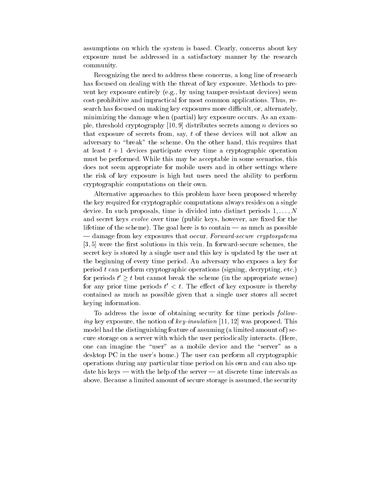assumptions on which the system is based. Clearly, concerns about key exposure must be addressed in a satisfactory manner by the research community.

Recognizing the need to address these concerns, a long line of research has focused on dealing with the threat of key exposure. Methods to prevent key exposure entirely (e.g., by using tamper-resistant devices) seem cost-prohibitive and impractical for most common applications. Thus, research has focused on making key exposures more difficult, or, alternately, minimizing the damage when (partial) key exposure occurs. As an example, threshold cryptography [10, 9] distributes secrets among *n* devices so that exposure of secrets from, say, t of these devices will not allow an adversary to "break" the scheme. On the other hand, this requires that at least  $t + 1$  devices participate every time a cryptographic operation must be performed. While this may be acceptable in some scenarios, this does not seem appropriate for mobile users and in other settings where the risk of key exposure is high but users need the ability to perform cryptographic computations on their own.

Alternative approaches to this problem have been proposed whereby the key required for cryptographic computations always resides on a single device. In such proposals, time is divided into distinct periods  $1, \ldots, N$ and secret keys evolve over time (public keys, however, are fixed for the lifetime of the scheme). The goal here is to contain  $\frac{1}{1}$  as much as possible — damage from key exposures that occur. Forward-secure cryptosystems  $[3,5]$  were the first solutions in this vein. In forward-secure schemes, the secret key is stored by a single user and this key is updated by the user at the beginning of every time period. An adversary who exposes a key for period  $t$  can perform cryptographic operations (signing, decrypting, etc.) for periods  $t' \geq t$  but cannot break the scheme (in the appropriate sense) for any prior time periods  $t' < t$ . The effect of key exposure is thereby contained as much as possible given that a single user stores all secret keying information.

To address the issue of obtaining security for time periods follow*ing* key exposure, the notion of key-insulation [11, 12] was proposed. This model had the distinguishing feature of assuming (a limited amount of) secure storage on a server with which the user periodically interacts. (Here, one can imagine the "user" as a mobile device and the "server" as a desktop PC in the user's home.) The user can perform all cryptographic operations during any particular time period on his own and can also update his keys — with the help of the server — at discrete time intervals as above. Because a limited amount of secure storage is assumed, the security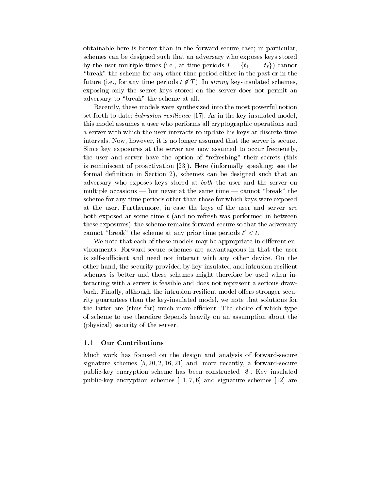obtainable here is better than in the forward-secure case; in particular. schemes can be designed such that an adversary who exposes keys stored by the user multiple times (i.e., at time periods  $T = \{t_1, \ldots, t_\ell\}$ ) cannot "break" the scheme for any other time period either in the past or in the future (i.e., for any time periods  $t \notin T$ ). In *strong* key-insulated schemes, exposing only the secret keys stored on the server does not permit an adversary to "break" the scheme at all.

Recently, these models were synthesized into the most powerful notion set forth to date: *intrusion-resilience* [17]. As in the key-insulated model. this model assumes a user who performs all cryptographic operations and a server with which the user interacts to update his keys at discrete time intervals. Now, however, it is no longer assumed that the server is secure. Since key exposures at the server are now assumed to occur frequently, the user and server have the option of "refreshing" their secrets (this is reminiscent of proactivation [23]). Here (informally speaking; see the formal definition in Section 2), schemes can be designed such that an adversary who exposes keys stored at both the user and the server on multiple occasions — but never at the same time — cannot "break" the scheme for any time periods other than those for which keys were exposed at the user. Furthermore, in case the keys of the user and server are both exposed at some time t (and no refresh was performed in between these exposures), the scheme remains forward-secure so that the adversary cannot "break" the scheme at any prior time periods  $t' < t$ .

We note that each of these models may be appropriate in different environments. Forward-secure schemes are advantageous in that the user is self-sufficient and need not interact with any other device. On the other hand, the security provided by key-insulated and intrusion-resilient schemes is better and these schemes might therefore be used when interacting with a server is feasible and does not represent a serious drawback. Finally, although the intrusion-resilient model offers stronger security guarantees than the key-insulated model, we note that solutions for the latter are (thus far) much more efficient. The choice of which type of scheme to use therefore depends heavily on an assumption about the (physical) security of the server.

#### $1.1$ **Our Contributions**

Much work has focused on the design and analysis of forward-secure signature schemes  $[5, 20, 2, 16, 21]$  and, more recently, a forward-secure public-key encryption scheme has been constructed [8]. Key insulated public-key encryption schemes  $[11, 7, 6]$  and signature schemes  $[12]$  are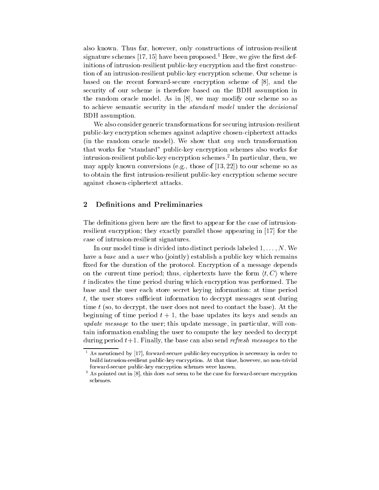also known. Thus far, however, only constructions of intrusion-resilient signature schemes [17, 15] have been proposed.<sup>1</sup> Here, we give the first definitions of intrusion-resilient public-key encryption and the first construction of an intrusion-resilient public-key encryption scheme. Our scheme is based on the recent forward-secure encryption scheme of [8], and the security of our scheme is therefore based on the BDH assumption in the random oracle model. As in [8], we may modify our scheme so as to achieve semantic security in the *standard model* under the *decisional* BDH assumption.

We also consider generic transformations for securing intrusion-resilient public-key encryption schemes against adaptive chosen-ciphertext attacks (in the random oracle model). We show that any such transformation that works for "standard" public-key encryption schemes also works for intrusion-resilient public-key encryption schemes.<sup>2</sup> In particular, then, we may apply known conversions (e.g., those of  $[13, 22]$ ) to our scheme so as to obtain the first intrusion-resilient public-key encryption scheme secure against chosen-ciphertext attacks.

#### **Definitions and Preliminaries**  $\overline{2}$

The definitions given here are the first to appear for the case of intrusionresilient encryption; they exactly parallel those appearing in [17] for the case of intrusion-resilient signatures.

In our model time is divided into distinct periods labeled  $1, \ldots, N$ . We have a base and a user who (jointly) establish a public key which remains fixed for the duration of the protocol. Encryption of a message depends on the current time period; thus, ciphertexts have the form  $\langle t, C \rangle$  where  $t$  indicates the time period during which encryption was performed. The base and the user each store secret keying information: at time period t, the user stores sufficient information to decrypt messages sent during time  $t$  (so, to decrypt, the user does not need to contact the base). At the beginning of time period  $t + 1$ , the base updates its keys and sends an *update message* to the user; this update message, in particular, will contain information enabling the user to compute the key needed to decrypt during period  $t+1$ . Finally, the base can also send *refresh messages* to the

 $^{-1}$  As mentioned by [17], forward-secure public-key encryption is necessary in order to build intrusion-resilient public-key encryption. At that time, however, no non-trivial forward-secure public-key encryption schemes were known.

 $^{2}$  As pointed out in [8], this does not seem to be the case for forward-secure encryption schemes.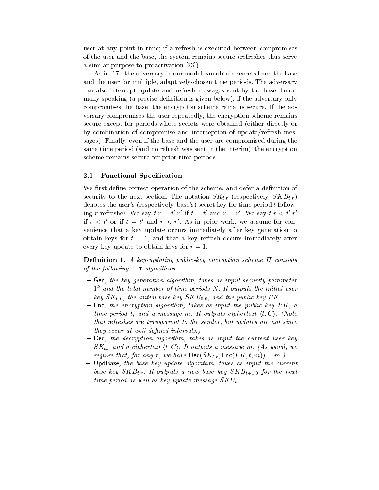user at any point in time; if a refresh is executed between compromises of the user and the base, the system remains secure (refreshes thus serve a similar purpose to proactivation  $[23]$ ).

As in [17], the adversary in our model can obtain secrets from the base and the user for multiple, adaptively-chosen time periods. The adversary can also intercept update and refresh messages sent by the base. Informally speaking (a precise definition is given below), if the adversary only compromises the base, the encryption scheme remains secure. If the adversary compromises the user repeatedly, the encryption scheme remains secure except for periods whose secrets were obtained (either directly or by combination of compromise and interception of update/refresh messages). Finally, even if the base and the user are compromised during the same time period (and no refresh was sent in the interim), the encryption scheme remains secure for prior time periods.

#### $2.1$ **Functional Specification**

We first define correct operation of the scheme, and defer a definition of security to the next section. The notation  $SK_{t,r}$  (respectively,  $SKB_{t,r}$ ) denotes the user's (respectively, base's) secret key for time period t following r refreshes. We say  $t.r = t'.r'$  if  $t = t'$  and  $r = r'$ . We say  $t.r < t'.r'$ if  $t < t'$  or if  $t = t'$  and  $r < r'$ . As in prior work, we assume for convenience that a key update occurs immediately after key generation to obtain keys for  $t = 1$ , and that a key refresh occurs immediately after every key update to obtain keys for  $r=1$ .

**Definition 1.** A key-updating public-key encryption scheme  $\Pi$  consists of the following PPT algorithms:

- Gen, the key generation algorithm, takes as input security parameter  $1^k$  and the total number of time periods N. It outputs the initial user key  $SK_{0.0}$ , the initial base key  $SKB_{0.0}$ , and the public key PK.
- $-$  Enc, the encryption algorithm, takes as input the public key  $PK$ , a time period t, and a message m. It outputs ciphertext  $\langle t, C \rangle$ . (Note that refreshes are transparent to the sender, but updates are not since *they occur at well-defined intervals.)*
- $-$  Dec, the decryption algorithm, takes as input the current user key  $SK_{t,r}$  and a ciphertext  $\langle t, C \rangle$ . It outputs a message m. (As usual, we *require that, for any r, we have*  $\text{Dec}(SK_{t,r}, \text{Enc}(PK, t, m)) = m$ .)
- $-$  UpdBase, the base key update algorithm, takes as input the current base key  $SKB_{t,r}$ . It outputs a new base key  $SKB_{t+1,0}$  for the next time period as well as key update message  $SKU_t$ .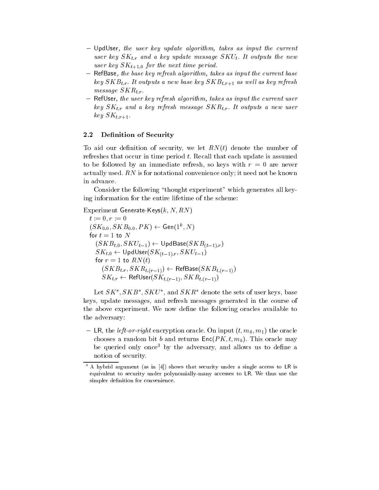- $-$  UpdUser, the user key update algorithm, takes as input the current user key  $SK_{t,r}$  and a key update message  $SKU_t$ . It outputs the new user key  $SK_{t+1,0}$  for the next time period.
- $-$  RefBase, the base key refresh algorithm, takes as input the current base key  $SKB_{t,r}$ . It outputs a new base key  $SKB_{t,r+1}$  as well as key refresh message  $SKR_{t,r}$ .
- $-$  RefUser, the user key refresh algorithm, takes as input the current user key  $SK_{t,r}$  and a key refresh message  $SKR_{t,r}$ . It outputs a new user  $key SK_{t,r+1}.$

#### $2.2$ Definition of Security

To aid our definition of security, we let  $RN(t)$  denote the number of refreshes that occur in time period  $t$ . Recall that each update is assumed to be followed by an immediate refresh, so keys with  $r=0$  are never actually used.  $RN$  is for notational convenience only; it need not be known in advance.

Consider the following "thought experiment" which generates all keying information for the entire lifetime of the scheme:

Experiment Generate-Keys $(k, N, RN)$  $t := 0, r := 0$  $(SK_{0,0}, SKB_{0,0}, PK) \leftarrow$  Gen $(1^k, N)$ for  $t = 1$  to N  $(SKB_{t,0}, SKU_{t-1}) \leftarrow$  UpdBase $(SKB_{(t-1),r})$  $SK_{t,0} \leftarrow$  UpdUser $(SK_{(t-1),r}, SKU_{t-1})$ for  $r = 1$  to  $RN(t)$  $(SKB_{t,r}, SKR_{t,(r-1)}) \leftarrow \mathsf{RefBase}(SKB_{t,(r-1)})$  $SK_{t,r} \leftarrow \mathsf{RefUser}(S\hat{K}_{t,(r-1)},SK\hat{R}_{t,(r-1)})$ 

Let  $SK^*, SKB^*, SKU^*,$  and  $SKR^*$  denote the sets of user keys, base keys, update messages, and refresh messages generated in the course of the above experiment. We now define the following oracles available to the adversary:

- LR, the *left-or-right* encryption oracle. On input  $(t, m_0, m_1)$  the oracle chooses a random bit b and returns  $Enc(PK, t, m_b)$ . This oracle may be queried only once<sup>3</sup> by the adversary, and allows us to define a notion of security.

 $3$  A hybrid argument (as in [4]) shows that security under a single access to LR is equivalent to security under polynomially-many accesses to LR. We thus use the simpler definition for convenience.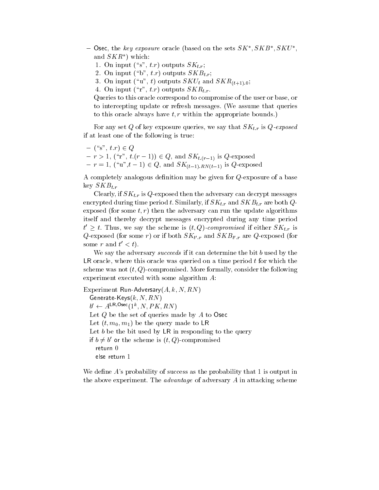- Osec, the key exposure oracle (based on the sets  $SK^*, SKB^*, SKU^*,$ and  $SKR^*$  which:
	- 1. On input ("s", t.r) outputs  $SK_{t,r}$ ;
	- 2. On input ("b", t.r) outputs  $SKB_{t,r}$ ;
	- 3. On input ("u", t) outputs  $SKU_t$  and  $SKR_{(t+1),0}$ ;
	- 4. On input ("r", t.r) outputs  $SKR_{t,r}$ .

Queries to this oracle correspond to compromise of the user or base, or to intercepting update or refresh messages. (We assume that queries to this oracle always have  $t, r$  within the appropriate bounds.)

For any set Q of key exposure queries, we say that  $SK_{t,r}$  is Q-exposed if at least one of the following is true:

 $-$  ("s", t.r)  $\in Q$  $-r > 1$ , ("r",  $t.(r-1)) \in Q$ , and  $SK_{t.(r-1)}$  is Q-exposed  $-r=1$ ,  $({}^{\alpha}u^{\nu}, t-1) \in Q$ , and  $SK_{(t-1), RN(t-1)}$  is Q-exposed

A completely analogous definition may be given for Q-exposure of a base key  $SKB_{t,\tau}$ 

Clearly, if  $SK_{t,r}$  is Q-exposed then the adversary can decrypt messages encrypted during time period t. Similarly, if  $SK_{t,r}$  and  $SKB_{t,r}$  are both Qexposed (for some  $t, r$ ) then the adversary can run the update algorithms itself and thereby decrypt messages encrypted during any time period  $t' \geq t$ . Thus, we say the scheme is  $(t, Q)$ -compromised if either  $SK_{t,r}$  is Q-exposed (for some r) or if both  $SK_{t',r}$  and  $SKB_{t',r}$  are Q-exposed (for some r and  $t' < t$ .

We say the adversary *succeeds* if it can determine the bit b used by the LR oracle, where this oracle was queried on a time period  $t$  for which the scheme was not  $(t, Q)$ -compromised. More formally, consider the following experiment executed with some algorithm  $A$ :

Experiment Run-Adversary $(A, k, N, RN)$ Generate-Keys $(k, N, RN)$  $b' \leftarrow A^{\text{LR,Osec}}(1^k, N, PK, RN)$ Let  $Q$  be the set of queries made by  $A$  to Osec Let  $(t, m_0, m_1)$  be the query made to LR Let  $b$  be the bit used by LR in responding to the query if  $b \neq b'$  or the scheme is  $(t, Q)$ -compromised  $return 0$ else return 1

We define  $A$ 's probability of success as the probability that 1 is output in the above experiment. The *advantage* of adversary  $A$  in attacking scheme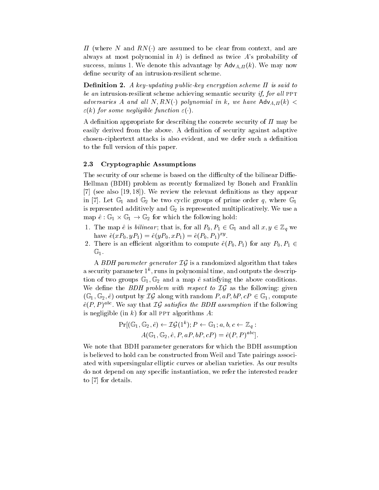$\Pi$  (where N and  $RN(\cdot)$  are assumed to be clear from context, and are always at most polynomial in k) is defined as twice A's probability of success, minus 1. We denote this advantage by  $\mathsf{Adv}_{A\Pi}(k)$ . We may now define security of an intrusion-resilient scheme.

**Definition 2.** A key-updating public-key encryption scheme  $\Pi$  is said to be an intrusion-resilient scheme achieving semantic security if, for all PPT adversaries A and all N,  $RN(\cdot)$  polynomial in k, we have  $Adv_{A,\Pi}(k)$  <  $\varepsilon(k)$  for some negligible function  $\varepsilon(\cdot)$ .

A definition appropriate for describing the concrete security of  $\Pi$  may be easily derived from the above. A definition of security against adaptive chosen-ciphertext attacks is also evident, and we defer such a definition to the full version of this paper.

#### 2.3 **Cryptographic Assumptions**

The security of our scheme is based on the difficulty of the bilinear Diffie-Hellman (BDH) problem as recently formalized by Boneh and Franklin  $[7]$  (see also  $[19, 18]$ ). We review the relevant definitions as they appear in [7]. Let  $\mathbb{G}_1$  and  $\mathbb{G}_2$  be two cyclic groups of prime order q, where  $\mathbb{G}_1$ is represented additively and  $\mathbb{G}_2$  is represented multiplicatively. We use a map  $\hat{e}: \mathbb{G}_1 \times \mathbb{G}_1 \to \mathbb{G}_2$  for which the following hold:

- 1. The map  $\hat{e}$  is *bilinear*; that is, for all  $P_0, P_1 \in \mathbb{G}_1$  and all  $x, y \in \mathbb{Z}_q$  we have  $\hat{e}(xP_0, yP_1) = \hat{e}(yP_0, xP_1) = \hat{e}(P_0, P_1)^{xy}$ .
- 2. There is an efficient algorithm to compute  $\hat{e}(P_0, P_1)$  for any  $P_0, P_1 \in$  $\mathbb{G}_1$ .

A BDH parameter generator  $IG$  is a randomized algorithm that takes a security parameter  $1<sup>k</sup>$ , runs in polynomial time, and outputs the description of two groups  $\mathbb{G}_1$ ,  $\mathbb{G}_2$  and a map  $\hat{e}$  satisfying the above conditions. We define the BDH problem with respect to  $I\mathcal{G}$  as the following: given  $(\mathbb{G}_{1}, \mathbb{G}_{2}, \hat{e})$  output by  $\mathcal{IG}$  along with random  $P, aP, bP, cP \in \mathbb{G}_{1}$ , compute  $\hat{e}(P, P)^{abc}$ . We say that  $\mathcal{IG}$  satisfies the BDH assumption if the following is negligible (in  $k$ ) for all PPT algorithms  $A$ :

$$
Pr[(\mathbb{G}_1, \mathbb{G}_2, \hat{e}) \leftarrow \mathcal{IG}(1^k); P \leftarrow \mathbb{G}_1; a, b, c \leftarrow \mathbb{Z}_q: A(\mathbb{G}_1, \mathbb{G}_2, \hat{e}, P, aP, bP, cP) = \hat{e}(P, P)^{abc}].
$$

We note that BDH parameter generators for which the BDH assumption is believed to hold can be constructed from Weil and Tate pairings associated with supersingular elliptic curves or abelian varieties. As our results do not depend on any specific instantiation, we refer the interested reader to [7] for details.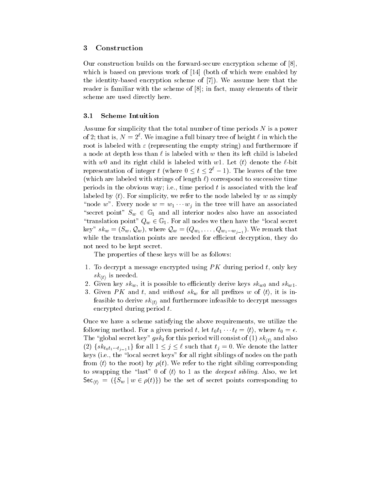#### 3 Construction

Our construction builds on the forward-secure encryption scheme of  $[8]$ , which is based on previous work of [14] (both of which were enabled by the identity-based encryption scheme of [7]). We assume here that the reader is familiar with the scheme of [8]; in fact, many elements of their scheme are used directly here.

#### **Scheme Intuition**  $3.1$

Assume for simplicity that the total number of time periods  $N$  is a power of 2; that is,  $N = 2^{\ell}$ . We imagine a full binary tree of height  $\ell$  in which the root is labeled with  $\varepsilon$  (representing the empty string) and furthermore if a node at depth less than  $\ell$  is labeled with  $w$  then its left child is labeled with w0 and its right child is labeled with w1. Let  $\langle t \rangle$  denote the  $\ell$ -bit representation of integer t (where  $0 \le t \le 2^{\ell} - 1$ ). The leaves of the tree (which are labeled with strings of length  $\ell$ ) correspond to successive time periods in the obvious way; i.e., time period  $t$  is associated with the leaf labeled by  $\langle t \rangle$ . For simplicity, we refer to the node labeled by w as simply "node w". Every node  $w = w_1 \cdots w_j$  in the tree will have an associated "secret point"  $S_w \in \mathbb{G}_1$  and all interior nodes also have an associated "translation point"  $Q_w \in \mathbb{G}_1$ . For all nodes we then have the "local secret key"  $sk_w = (S_w, \mathcal{Q}_w)$ , where  $\mathcal{Q}_w = (Q_{w_1}, \ldots, Q_{w_1 \cdots w_{j-1}})$ . We remark that while the translation points are needed for efficient decryption, they do not need to be kept secret.

The properties of these keys will be as follows:

- 1. To decrypt a message encrypted using  $PK$  during period t, only key  $sk_{\langle t \rangle}$  is needed.
- 2. Given key  $sk_w$ , it is possible to efficiently derive keys  $sk_{w0}$  and  $sk_{w1}$ .
- 3. Given PK and t, and without  $sk_w$  for all prefixes w of  $\langle t \rangle$ , it is infeasible to derive  $sk_{(t)}$  and furthermore infeasible to decrypt messages encrypted during period  $t$ .

Once we have a scheme satisfying the above requirements, we utilize the following method. For a given period t, let  $t_0 t_1 \cdots t_\ell = \langle t \rangle$ , where  $t_0 = \epsilon$ . The "global secret key"  $g s k_t$  for this period will consist of (1)  $s k_{(t)}$  and also (2)  $\{sk_{t_0t_1\cdots t_{i-1}}\}$  for all  $1\leq j\leq \ell$  such that  $t_j=0$ . We denote the latter keys (i.e., the "local secret keys" for all right siblings of nodes on the path from  $\langle t \rangle$  to the root) by  $\rho(t)$ . We refer to the right sibling corresponding to swapping the "last" 0 of  $\langle t \rangle$  to 1 as the *deepest sibling*. Also, we let  $\mathsf{Sec}_{\langle t\rangle} = (\{S_w \mid w \in \rho(t)\})$  be the set of secret points corresponding to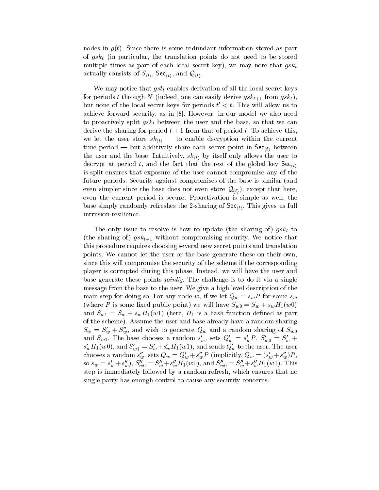nodes in  $\rho(t)$ . Since there is some redundant information stored as part of  $gsk_t$  (in particular, the translation points do not need to be stored multiple times as part of each local secret key), we may note that  $gsk_t$ actually consists of  $S_{\langle t \rangle}$ , Sec<sub> $\langle t \rangle$ </sub>, and  $\mathcal{Q}_{\langle t \rangle}$ .

We may notice that  $gst_t$  enables derivation of all the local secret keys for periods t through N (indeed, one can easily derive  $gsk_{t+1}$  from  $gsk_t$ ), but none of the local secret keys for periods  $t' < t$ . This will allow us to achieve forward security, as in [8]. However, in our model we also need to proactively split  $g s k_t$  between the user and the base, so that we can derive the sharing for period  $t + 1$  from that of period t. To achieve this. we let the user store  $sk_{\langle t \rangle}$  — to enable decryption within the current time period — but additively share each secret point in  $\mathsf{Sec}_{(t)}$  between the user and the base. Intuitively,  $sk_{\langle t \rangle}$  by itself only allows the user to decrypt at period t, and the fact that the rest of the global key  $\text{Sec}_{(t)}$ is split ensures that exposure of the user cannot compromise any of the future periods. Security against compromises of the base is similar (and even simpler since the base does not even store  $\mathcal{Q}_{(t)}$ , except that here, even the current period is secure. Proactivation is simple as well: the base simply randomly refreshes the 2-sharing of  $\text{Sec}_{(t)}$ . This gives us full intrusion-resilience.

The only issue to resolve is how to update (the sharing of)  $g s k_t$  to (the sharing of)  $gsk_{t+1}$  without compromising security. We notice that this procedure requires choosing several new secret points and translation points. We cannot let the user or the base generate these on their own, since this will compromise the security of the scheme if the corresponding player is corrupted during this phase. Instead, we will have the user and base generate these points *jointly*. The challenge is to do it via a single message from the base to the user. We give a high level description of the main step for doing so. For any node w, if we let  $Q_w = s_w P$  for some  $s_w$ (where P is some fixed public point) we will have  $S_{w0} = S_w + s_w H_1(w0)$ and  $S_{w1} = S_w + s_w H_1(w1)$  (here,  $H_1$  is a hash function defined as part of the scheme). Assume the user and base already have a random sharing  $S_w = S'_w + S''_w$ , and wish to generate  $Q_w$  and a random sharing of  $S_{w0}$ and  $S_{w1}$ . The base chooses a random  $s'_w$ , sets  $Q'_w = s'_w P$ ,  $S'_{w0} = S'_w +$  $s'_wH_1(w0)$ , and  $S'_{w1} = S'_w + s'_wH_1(w1)$ , and sends  $Q'_w$  to the user. The user chooses a random  $s_w''$ , sets  $Q_w = Q_w' + s_w''P$  (implicitly,  $Q_w = (s_w' + s_w'')P$ , so  $s_w = s'_w + s''_w$ ,  $S^{\overline{u}}_{w0} = S''_w + s''_w H_1(w0)$ , and  $S''_{w0} = S''_w + s''_w H_1(w1)$ . This step is immediately followed by a random refresh, which ensures that no single party has enough control to cause any security concerns.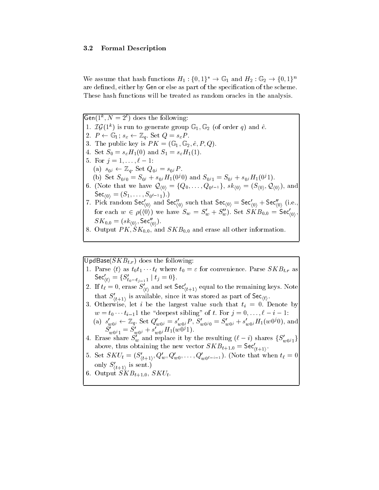#### **Formal Description**  $3.2\,$

We assume that hash functions  $H_1: \{0,1\}^* \to \mathbb{G}_1$  and  $H_2: \mathbb{G}_2 \to \{0,1\}^n$ are defined, either by Gen or else as part of the specification of the scheme. These hash functions will be treated as random oracles in the analysis.

 $Gen(1^k, N = 2^{\ell})$  does the following: 1.  $\mathcal{IG}(1^k)$  is run to generate group  $\mathbb{G}_1, \mathbb{G}_2$  (of order q) and  $\hat{e}$ . 2.  $P \leftarrow \mathbb{G}_1$ ;  $s_{\varepsilon} \leftarrow \mathbb{Z}_q$ . Set  $Q = s_{\varepsilon} P$ . 3. The public key is  $PK = (\mathbb{G}_1, \mathbb{G}_2, \hat{e}, P, Q)$ . 4. Set  $S_0 = s_{\varepsilon} H_1(0)$  and  $S_1 = s_{\varepsilon} H_1(1)$ . 5. For  $j = 1, ..., \ell - 1$ : (a)  $s_{0j} \leftarrow \mathbb{Z}_q$ . Set  $Q_{0j} = s_{0j}P$ . (b) Set  $S_{0,j} = S_{0,j} + s_{0,j}H_1(0^j0)$  and  $S_{0,j} = S_{0,j} + s_{0,j}H_1(0^j1)$ . 6. (Note that we have  $\mathcal{Q}_{(0)} = \{Q_0, \ldots, Q_{0^{\ell-1}}\}, sk_{(0)} = (S_{(0)}, \mathcal{Q}_{(0)}),$  and  $\mathsf{Sec}_{\langle 0 \rangle} = (S_1, \ldots, S_{0^{\ell-1} 1}).$ 7. Pick random  $\text{Sec}_{(0)}'$  and  $\text{Sec}_{(0)}''$  such that  $\text{Sec}_{(0)} = \text{Sec}_{(0)}' + \text{Sec}_{(0)}''$  (i.e., for each  $w \in \rho(\langle 0 \rangle)$  we have  $S_w = S'_w + S''_w$ . Set  $SKB_{0,0} = \text{Sec}'_{(0)}$  $SK_{0.0} = (sk_{\langle 0 \rangle}, \textsf{Sec''}_{\langle 0 \rangle}).$ 8. Output  $PK, SK_{0,0}$ , and  $SKB_{0,0}$  and erase all other information.

UpdBase( $SKB_{t,r}$ ) does the following:

- 1. Parse  $\langle t \rangle$  as  $t_0 t_1 \cdots t_\ell$  where  $t_0 = \varepsilon$  for convenience. Parse  $SKB_{t,r}$  as  $\mathsf{Sec}'_{\langle t \rangle} = \{S'_{t_0 \cdots t_{j-1} 1} \mid t_j = 0\}.$
- 2. If  $t_{\ell} = 0$ , erase  $S'_{\langle t \rangle}$  and set  $\mathsf{Sec}'_{\langle t+1 \rangle}$  equal to the remaining keys. Note that  $S'_{(t+1)}$  is available, since it was stored as part of  $\mathsf{Sec}_{(t)}$ .
- 3. Otherwise, let i be the largest value such that  $t_i = 0$ . Denote by  $w = t_0 \cdots t_{i-1}1$  the "deepest sibling" of t. For  $j = 0, \ldots, \ell - i - 1$ : (a)  $s'_{w0j} \leftarrow \mathbb{Z}_q$ . Set  $Q'_{w0j} = s'_{w0j}P$ ,  $S'_{w0j0} = S'_{w0j} + s'_{w0j}H_1(w0^j0)$ , and  $S'_{w0^j1} = S'_{w0^j} + s'_{w0^j} H_1(w0^j1).$
- 4. Erase share  $S'_w$  and replace it by the resulting  $(\ell i)$  shares  $\{S'_{w0j1}\}$ above, thus obtaining the new vector  $SKB_{t+1,0} = \mathsf{Sec}_{(t+1)}'.$
- 5. Set  $SKU_t = (S'_{(t+1)}, Q'_w, Q'_{w0}, \ldots, Q'_{w0^{\ell-i-1}})$ . (Note that when  $t_{\ell} = 0$ only  $S'_{\langle t+1 \rangle}$  is sent.)
- 6. Output  $SKB_{t+1.0}$ ,  $SKU_t$ .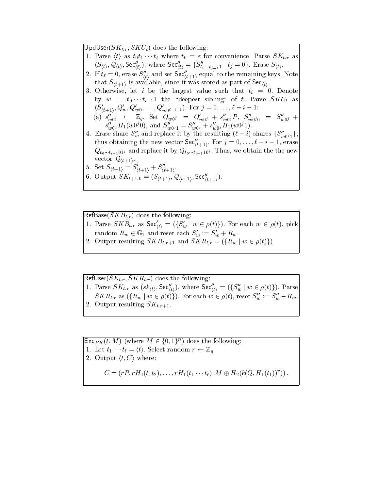UpdUser( $SK_{t,r}$ ,  $SKU_t$ ) does the following:

- 1. Parse  $\langle t \rangle$  as  $t_0 t_1 \cdots t_\ell$  where  $t_0 = \varepsilon$  for convenience. Parse  $SK_{t,r}$  as  $(S_{(t)}, \mathcal{Q}_{(t)}, \mathsf{Sec''_{(t)}})$ , where  $\mathsf{Sec''_{(t)}} = \{S''_{t_0 \cdots t_{j-1}1} \mid t_j = 0\}$ . Erase  $S_{(t)}$ .
- 2. If  $t_{\ell} = 0$ , erase  $S''_{\langle t \rangle}$  and set  $\text{Sec}''_{\langle t+1 \rangle}$  equal to the remaining keys. Note that  $S_{(t+1)}$  is available, since it was stored as part of  $\mathsf{Sec}_{(t)}$ .
- 3. Otherwise, let i be the largest value such that  $t_i = 0$ . Denote by  $w = t_0 \cdots t_{i-1} 1$  the "deepest sibling" of t. Parse  $SKU_t$  as  $(S'_{(t+1)}, Q'_w, Q'_{w0}, \ldots, Q'_{w0^{\ell-i-1}})$ . For  $j = 0, \ldots, \ell-i-1$ : (a)  $s_{w0j}''^{'} \leftarrow \mathbb{Z}_q$ . Set  $Q_{w0j} = Q'_{w0j} + s_{w0j}'' P$ ,  $S_{w0j0}'' = S_{w0j}'' + s_{w0j}'' P$ <br>  $s_{w0j}'' H_1(w0j0)$ , and  $S_{w0j1}'' = S_{w0j}'' + s_{w0j}'' H_1(w0j1)$ .
- 4. Erase share  $S_w''$  and replace it by the resulting  $(\ell i)$  shares  $\{S_{w0i1}''\}$ , thus obtaining the new vector  $\mathsf{Sec}_{(t+1)}''$ . For  $j = 0, \ldots, \ell - i - 1$ , erase  $Q_{t_0 \cdots t_{i-1} 0 1^j}$  and replace it by  $Q_{t_0 \cdots t_{i-1} 1 0^j}$ . Thus, we obtain the the new vector  $\mathcal{Q}_{\langle t+1 \rangle}$ .
- 5. Set  $S_{\langle t+1 \rangle} = S'_{\langle t+1 \rangle} + S''_{\langle t+1 \rangle}$ .
- 6. Output  $SK_{t+1,0} = (S_{(t+1)}, \mathcal{Q}_{(t+1)}, \mathsf{Sec''}_{(t+1)}).$

 $\mathsf{RefBase}(SKB_{t,r})$  does the following: 1. Parse  $SKB_{t,r}$  as  $Sec'_{(t)} = (\{S'_w \mid w \in \rho(t)\})$ . For each  $w \in \rho(t)$ , pick random  $R_w \in \mathbb{G}_1$  and reset each  $S'_w := S'_w + R_w$ . 2. Output resulting  $SKB_{t,r+1}$  and  $SKR_{t,r} = (\lbrace R_w \mid w \in \rho(t) \rbrace)$ .

RefUser( $SK_{t,r}$ ,  $SKR_{t,r}$ ) does the following: 1. Parse  $SK_{t,r}$  as  $(sk_{\langle t \rangle}, \mathsf{Sec}''_{\langle t \rangle})$ , where  $\mathsf{Sec}''_{\langle t \rangle} = (\{S_w'' \mid w \in \rho(t)\})$ . Parse  $SKR_{t,r}$  as  $({R_w | w \in \rho(t)}).$  For each  $w \in \rho(t)$ , reset  $S_w'' := S_w'' - R_w$ . 2. Output resulting  $SK_{t,r+1}$ .

 $\mathsf{Enc}_{PK}(t, M)$  (where  $M \in \{0, 1\}^n$ ) does the following: 1. Let  $t_1 \cdots t_\ell = \langle t \rangle$ . Select random  $r \leftarrow \mathbb{Z}_q$ . 2. Output  $\langle t, C \rangle$  where:  $C = (rP, rH_1(t_1t_2), \ldots, rH_1(t_1 \cdots t_\ell), M \oplus H_2(\hat{e}(Q, H_1(t_1))^r)).$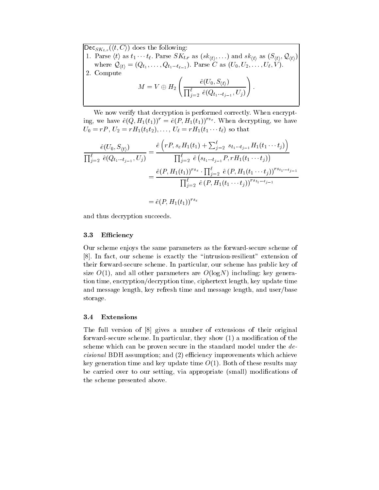$\mathsf{Dec}_{SK_{t,r}}(\langle t, C \rangle)$  does the following: 1. Parse  $\langle t \rangle$  as  $t_1 \cdots t_\ell$ . Parse  $SK_{t,r}$  as  $(sk_{\langle t \rangle}, \ldots)$  and  $sk_{\langle t \rangle}$  as  $(S_{\langle t \rangle}, \mathcal{Q}_{\langle t \rangle})$ where  $Q_{(t)} = (Q_{t_1}, \ldots, Q_{t_1 \cdots t_{\ell-1}})$ . Parse C as  $(U_0, U_2, \ldots, U_{\ell}, V)$ . 2. Compute  $M = V \oplus H_2\left(\frac{\hat{e}(U_0, S_{\langle t \rangle})}{\prod_{i=2}^{\ell} \hat{e}(Q_{t_1 \cdots t_{i-1}}, U_j)}\right).$ 

We now verify that decryption is performed correctly. When encrypting, we have  $\hat{e}(Q, H_1(t_1))^r = \hat{e}(P, H_1(t_1))^{rs_{\varepsilon}}$ . When decrypting, we have  $U_0 = rP, U_2 = rH_1(t_1t_2), \ldots, U_\ell = rH_1(t_1 \cdots t_\ell)$  so that

$$
\frac{\hat{e}(U_0, S_{\langle t \rangle})}{\prod_{j=2}^{\ell} \hat{e}(Q_{t_1 \cdots t_{j-1}}, U_j)} = \frac{\hat{e}\left(rP, s_{\varepsilon}H_1(t_1) + \sum_{j=2}^{\ell} s_{t_1 \cdots t_{j-1}}H_1(t_1 \cdots t_j)\right)}{\prod_{j=2}^{\ell} \hat{e}\left(s_{t_1 \cdots t_{j-1}}P, rH_1(t_1 \cdots t_j)\right)}
$$
\n
$$
= \frac{\hat{e}(P, H_1(t_1))^{rs_{\varepsilon}} \cdot \prod_{j=2}^{\ell} \hat{e}\left(P, H_1(t_1 \cdots t_j)\right)^{rs_{t_1 \cdots t_{j-1}}}}{\prod_{j=2}^{\ell} \hat{e}\left(P, H_1(t_1 \cdots t_j)\right)^{rs_{t_1 \cdots t_{j-1}}}}
$$
\n
$$
= \hat{e}(P, H_1(t_1))^{rs_{\varepsilon}}
$$

and thus decryption succeeds.

#### $3.3$ Efficiency

Our scheme enjoys the same parameters as the forward-secure scheme of [8]. In fact, our scheme is exactly the "intrusion-resilient" extension of their forward-secure scheme. In particular, our scheme has public key of size  $O(1)$ , and all other parameters are  $O(logN)$  including: key generation time, encryption/decryption time, ciphertext length, key update time and message length, key refresh time and message length, and user/base storage.

#### 3.4 **Extensions**

The full version of [8] gives a number of extensions of their original forward-secure scheme. In particular, they show (1) a modification of the scheme which can be proven secure in the standard model under the de*cisional* BDH assumption; and (2) efficiency improvements which achieve key generation time and key update time  $O(1)$ . Both of these results may be carried over to our setting, via appropriate (small) modifications of the scheme presented above.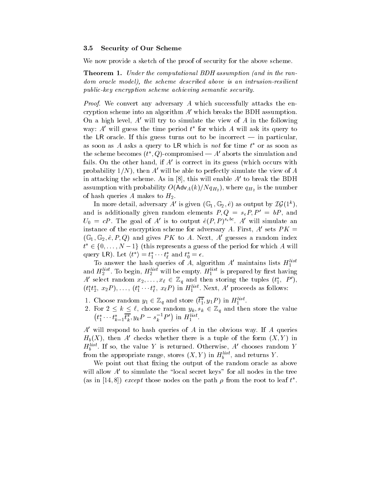#### **Security of Our Scheme**  $3.5$

We now provide a sketch of the proof of security for the above scheme.

**Theorem 1.** Under the computational BDH assumption (and in the random oracle model), the scheme described above is an intrusion-resilient *public-key encryption scheme achieving semantic security.* 

*Proof.* We convert any adversary A which successfully attacks the encryption scheme into an algorithm  $A'$  which breaks the BDH assumption. On a high level,  $A'$  will try to simulate the view of A in the following way:  $A'$  will guess the time period  $t^*$  for which A will ask its query to the LR oracle. If this guess turns out to be incorrect  $-$  in particular. as soon as A asks a query to LR which is not for time  $t^*$  or as soon as the scheme becomes  $(t^*, Q)$ -compromised — A' aborts the simulation and fails. On the other hand, if  $A'$  is correct in its guess (which occurs with probability  $1/N$ , then A' will be able to perfectly simulate the view of A in attacking the scheme. As in [8], this will enable  $A'$  to break the BDH assumption with probability  $O(\mathsf{Adv}_{A}(k)/Nq_{H_2})$ , where  $q_{H_2}$  is the number of hash queries A makes to  $H_2$ .

In more detail, adversary A' is given  $(\mathbb{G}_1, \mathbb{G}_2, \hat{e})$  as output by  $\mathcal{IG}(1^k)$ , and is additionally given random elements  $P, Q = s_{\epsilon}P, P' = bP$ , and  $U_0 = cP$ . The goal of A' is to output  $\hat{e}(P, P)^{s_ebc}$ . A' will simulate an instance of the encryption scheme for adversary A. First,  $A'$  sets  $PK =$  $(\mathbb{G}_{\mathbb{I}}, \mathbb{G}_{\mathbb{Z}}, \hat{e}, P, Q)$  and gives PK to A. Next, A' guesses a random index  $t^* \in \{0, \ldots, N-1\}$  (this represents a guess of the period for which A will query LR). Let  $\langle t^* \rangle = t_1^* \cdots t_{\ell}^*$  and  $t_0^* = \epsilon$ .

To answer the hash queries of A, algorithm  $A'$  maintains lists  $H_1^{list}$ and  $H_2^{list}$ . To begin,  $H_2^{list}$  will be empty.  $H_1^{list}$  is prepared by first having  $A'$  select random  $x_2, \ldots, x_\ell \in \mathbb{Z}_q$  and then storing the tuples  $(t_1^*, P'),$ <br> $(t_1^* t_2^*, x_2 P), \ldots, (t_1^* \cdots t_\ell^*, x_\ell P)$  in  $H_1^{list}$ . Next,  $A'$  proceeds as follows:

- 1. Choose random  $y_1 \in \mathbb{Z}_q$  and store  $(\overline{t_1^*}, y_1 P)$  in  $H_1^{list}$ .
- 2. For  $2 \leq k \leq \ell$ , choose random  $y_k, s_k \in \mathbb{Z}_q$  and then store the value  $(t_1^* \cdots t_{k-1}^* \overline{t_k^*}, y_k P s_k^{-1} P')$  in  $H_1^{\text{list}}$ .

 $A'$  will respond to hash queries of A in the obvious way. If A queries  $H_b(X)$ , then A' checks whether there is a tuple of the form  $(X, Y)$  in  $H_b^{list}$ . If so, the value Y is returned. Otherwise, A' chooses random Y from the appropriate range, stores  $(X, Y)$  in  $H_b^{list}$ , and returns Y.

We point out that fixing the output of the random oracle as above will allow  $A'$  to simulate the "local secret keys" for all nodes in the tree (as in [14,8]) except those nodes on the path  $\rho$  from the root to leaf  $t^*$ .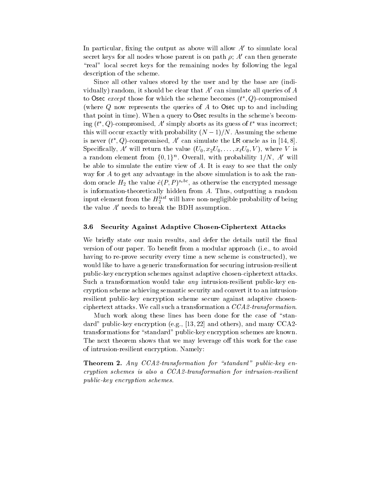In particular, fixing the output as above will allow  $A'$  to simulate local secret keys for all nodes whose parent is on path  $\rho$ ; A' can then generate "real" local secret keys for the remaining nodes by following the legal description of the scheme.

Since all other values stored by the user and by the base are (individually) random, it should be clear that  $A'$  can simulate all queries of A to Osec except those for which the scheme becomes  $(t^*, Q)$ -compromised (where  $Q$  now represents the queries of  $A$  to Osec up to and including that point in time). When a query to Osec results in the scheme's becoming  $(t^*,Q)$ -compromised, A' simply aborts as its guess of  $t^*$  was incorrect; this will occur exactly with probability  $(N-1)/N$ . Assuming the scheme is never  $(t^*, Q)$ -compromised, A' can simulate the LR oracle as in [14, 8]. Specifically, A' will return the value  $(U_0, x_2U_0, \ldots, x_\ell U_0, V)$ , where V is a random element from  $\{0,1\}^n$ . Overall, with probability  $1/N$ , A' will be able to simulate the entire view of  $A$ . It is easy to see that the only way for  $A$  to get any advantage in the above simulation is to ask the random oracle  $H_2$  the value  $\hat{e}(P, P)^{s_{\epsilon}bc}$ , as otherwise the encrypted message is information-theoretically hidden from  $A$ . Thus, outputting a random input element from the  $H_2^{list}$  will have non-negligible probability of being the value  $A'$  needs to break the BDH assumption.

#### 3.6 **Security Against Adaptive Chosen-Ciphertext Attacks**

We briefly state our main results, and defer the details until the final version of our paper. To benefit from a modular approach (i.e., to avoid having to re-prove security every time a new scheme is constructed), we would like to have a generic transformation for securing intrusion-resilient public-key encryption schemes against adaptive chosen-ciphertext attacks. Such a transformation would take *any* intrusion-resilient public-key encryption scheme achieving semantic security and convert it to an intrusionresilient public-key encryption scheme secure against adaptive chosenciphertext attacks. We call such a transformation a CCA2-transformation.

Much work along these lines has been done for the case of "standard" public-key encryption (e.g., [13, 22] and others), and many  $CCA2$ transformations for "standard" public-key encryption schemes are known. The next theorem shows that we may leverage off this work for the case of intrusion-resilient encryption. Namely:

Theorem 2. Any CCA2-transformation for "standard" public-key encryption schemes is also a  $CCA2-transformation$  for intrusion-resilient *public-key encryption schemes.*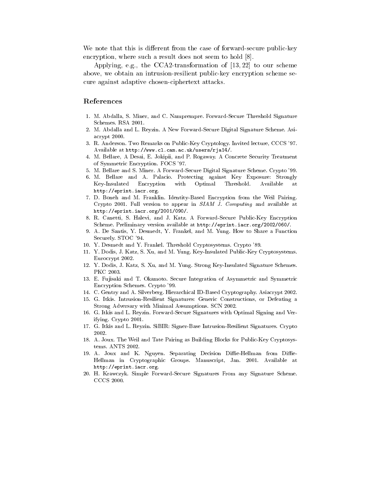We note that this is different from the case of forward-secure public-key encryption, where such a result does not seem to hold [8].

Applying, e.g., the CCA2-transformation of  $[13, 22]$  to our scheme above, we obtain an intrusion-resilient public-key encryption scheme secure against adaptive chosen-ciphertext attacks.

### References

- 1. M. Abdalla, S. Miner, and C. Namprempre. Forward-Secure Threshold Signature Schemes. RSA 2001.
- 2. M. Abdalla and L. Reyzin. A New Forward-Secure Digital Signature Scheme. Asiacrypt 2000.
- 3. R. Anderson. Two Remarks on Public-Key Cryptology. Invited lecture, CCCS '97. Available at http://www.cl.cam.ac.uk/users/rja14/.
- 4. M. Bellare, A Desai, E. Jokipii, and P. Rogaway. A Concrete Security Treatment of Symmetric Encryption. FOCS '97.
- 5. M. Bellare and S. Miner. A Forward-Secure Digital Signature Scheme. Crypto '99.
- 6. M. Bellare and A. Palacio. Protecting against Key Exposure: Strongly Key-Insulated Encryption with Optimal Threshold. Available -at http://eprint.iacr.org.
- 7. D. Boneh and M. Franklin. Identity-Based Encryption from the Weil Pairing. Crypto 2001. Full version to appear in SIAM J. Computing and available at http://eprint.iacr.org/2001/090/.
- 8. R. Canetti, S. Halevi, and J. Katz. A Forward-Secure Public-Key Encryption Scheme. Preliminary version available at http://eprint.iacr.org/2002/060/.
- 9. A. De Santis, Y. Desmedt, Y. Frankel, and M. Yung. How to Share a Function Securely. STOC '94.
- 10. Y. Desmedt and Y. Frankel. Threshold Cryptosystems. Crypto '89.
- 11. Y. Dodis, J. Katz, S. Xu, and M. Yung. Key-Insulated Public-Key Cryptosystems. Eurocrypt 2002.
- 12. Y. Dodis, J. Katz, S. Xu, and M. Yung. Strong Key-Insulated Signature Schemes. PKC 2003.
- 13. E. Fujisaki and T. Okamoto. Secure Integration of Asymmetric and Symmetric Encryption Schemes. Crypto '99.
- 14. C. Gentry and A. Silverberg. Hierarchical ID-Based Cryptography. Asiacrypt 2002.
- 15. G. Itkis. Intrusion-Resilient Signatures: Generic Constructions, or Defeating a Strong Adversary with Minimal Assumptions. SCN 2002.
- 16. G. Itkis and L. Reyzin. Forward-Secure Signatures with Optimal Signing and Verifying. Crypto 2001.
- 17. G. Itkis and L. Reyzin. SiBIR: Signer-Base Intrusion-Resilient Signatures. Crypto 2002.
- 18. A. Joux. The Weil and Tate Pairing as Building Blocks for Public-Key Cryptosystems. ANTS 2002.
- 19. A. Joux and K. Nguyen. Separating Decision Diffie-Hellman from Diffie-Hellman in Cryptographic Groups. Manuscript, Jan. 2001. Available at http://eprint.iacr.org.
- 20. H. Krawczyk. Simple Forward-Secure Signatures From any Signature Scheme. CCCS 2000.